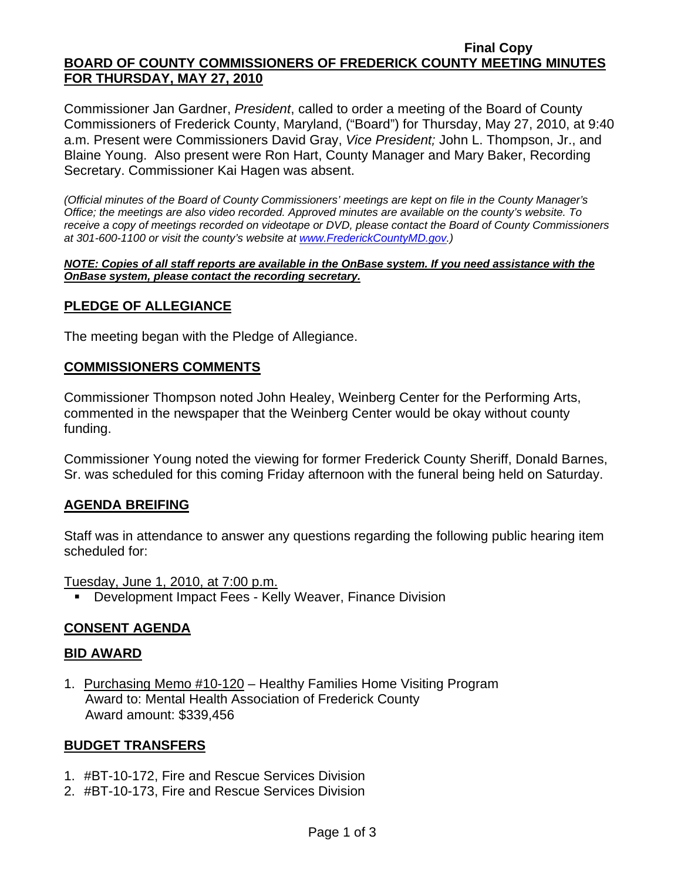#### **Final Copy BOARD OF COUNTY COMMISSIONERS OF FREDERICK COUNTY MEETING MINUTES FOR THURSDAY, MAY 27, 2010**

Commissioner Jan Gardner, *President*, called to order a meeting of the Board of County Commissioners of Frederick County, Maryland, ("Board") for Thursday, May 27, 2010, at 9:40 a.m. Present were Commissioners David Gray, *Vice President;* John L. Thompson, Jr., and Blaine Young. Also present were Ron Hart, County Manager and Mary Baker, Recording Secretary. Commissioner Kai Hagen was absent.

*(Official minutes of the Board of County Commissioners' meetings are kept on file in the County Manager's Office; the meetings are also video recorded. Approved minutes are available on the county's website. To receive a copy of meetings recorded on videotape or DVD, please contact the Board of County Commissioners at 301-600-1100 or visit the county's website at [www.FrederickCountyMD.gov.](http://www.frederickcountymd.gov/))* 

*NOTE: Copies of all staff reports are available in the OnBase system. If you need assistance with the OnBase system, please contact the recording secretary.*

### **PLEDGE OF ALLEGIANCE**

The meeting began with the Pledge of Allegiance.

### **COMMISSIONERS COMMENTS**

Commissioner Thompson noted John Healey, Weinberg Center for the Performing Arts, commented in the newspaper that the Weinberg Center would be okay without county funding.

Commissioner Young noted the viewing for former Frederick County Sheriff, Donald Barnes, Sr. was scheduled for this coming Friday afternoon with the funeral being held on Saturday.

### **AGENDA BREIFING**

Staff was in attendance to answer any questions regarding the following public hearing item scheduled for:

Tuesday, June 1, 2010, at 7:00 p.m.

Development Impact Fees - Kelly Weaver, Finance Division

### **CONSENT AGENDA**

### **BID AWARD**

1. Purchasing Memo #10-120 – Healthy Families Home Visiting Program Award to: Mental Health Association of Frederick County Award amount: \$339,456

### **BUDGET TRANSFERS**

- 1. #BT-10-172, Fire and Rescue Services Division
- 2. #BT-10-173, Fire and Rescue Services Division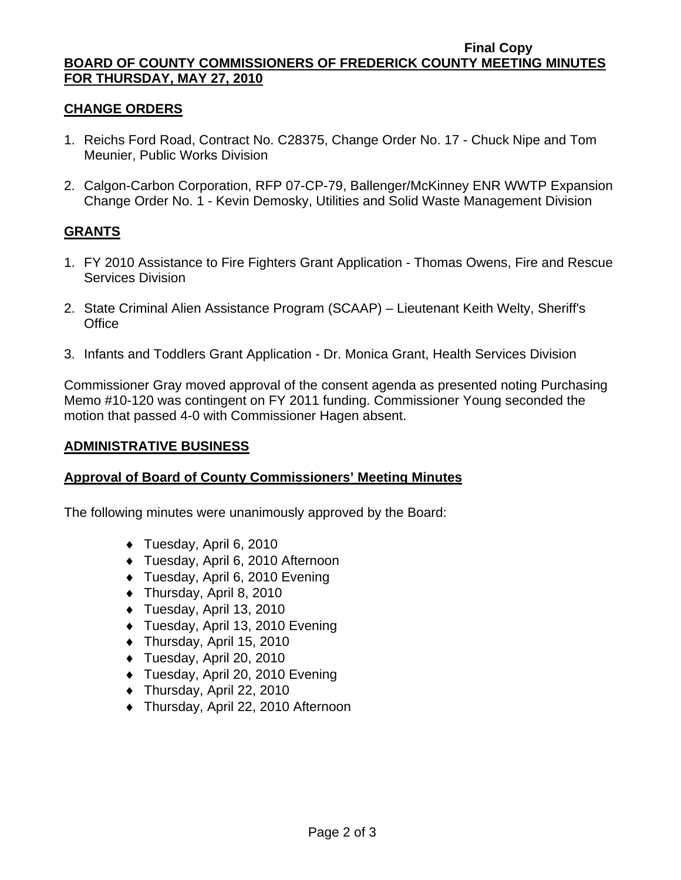#### **Final Copy BOARD OF COUNTY COMMISSIONERS OF FREDERICK COUNTY MEETING MINUTES FOR THURSDAY, MAY 27, 2010**

## **CHANGE ORDERS**

- 1. Reichs Ford Road, Contract No. C28375, Change Order No. 17 Chuck Nipe and Tom Meunier, Public Works Division
- 2. Calgon-Carbon Corporation, RFP 07-CP-79, Ballenger/McKinney ENR WWTP Expansion Change Order No. 1 - Kevin Demosky, Utilities and Solid Waste Management Division

## **GRANTS**

- 1. FY 2010 Assistance to Fire Fighters Grant Application Thomas Owens, Fire and Rescue Services Division
- 2. State Criminal Alien Assistance Program (SCAAP) Lieutenant Keith Welty, Sheriff's **Office**
- 3. Infants and Toddlers Grant Application Dr. Monica Grant, Health Services Division

Commissioner Gray moved approval of the consent agenda as presented noting Purchasing Memo #10-120 was contingent on FY 2011 funding. Commissioner Young seconded the motion that passed 4-0 with Commissioner Hagen absent.

### **ADMINISTRATIVE BUSINESS**

## **Approval of Board of County Commissioners' Meeting Minutes**

The following minutes were unanimously approved by the Board:

- ♦ Tuesday, April 6, 2010
- ♦ Tuesday, April 6, 2010 Afternoon
- ♦ Tuesday, April 6, 2010 Evening
- ♦ Thursday, April 8, 2010
- ♦ Tuesday, April 13, 2010
- ♦ Tuesday, April 13, 2010 Evening
- ♦ Thursday, April 15, 2010
- ♦ Tuesday, April 20, 2010
- ♦ Tuesday, April 20, 2010 Evening
- ♦ Thursday, April 22, 2010
- ♦ Thursday, April 22, 2010 Afternoon